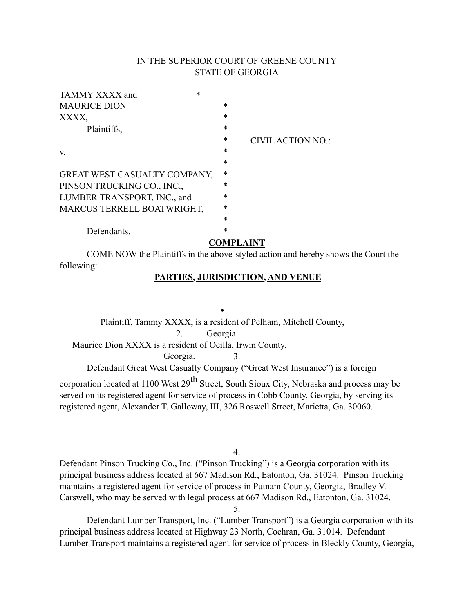# IN THE SUPERIOR COURT OF GREENE COUNTY STATE OF GEORGIA

| TAMMY XXXX and               | $\ast$ |        |                          |
|------------------------------|--------|--------|--------------------------|
| <b>MAURICE DION</b>          |        | $\ast$ |                          |
| XXXX.                        |        | $\ast$ |                          |
| Plaintiffs,                  |        | $\ast$ |                          |
|                              |        | $\ast$ | <b>CIVIL ACTION NO.:</b> |
| V.                           |        | $\ast$ |                          |
|                              |        | $\ast$ |                          |
| GREAT WEST CASUALTY COMPANY, |        | $\ast$ |                          |
| PINSON TRUCKING CO., INC.,   |        | *      |                          |
| LUMBER TRANSPORT, INC., and  |        | $\ast$ |                          |
| MARCUS TERRELL BOATWRIGHT,   |        | $\ast$ |                          |
|                              |        | $\ast$ |                          |
| Defendants.                  |        | $\ast$ |                          |
| <b>COMPLAINT</b>             |        |        |                          |

COME NOW the Plaintiffs in the above-styled action and hereby shows the Court the following:

## **PARTIES, JURISDICTION, AND VENUE**

**•** Plaintiff, Tammy XXXX, is a resident of Pelham, Mitchell County, 2. Georgia. Maurice Dion XXXX is a resident of Ocilla, Irwin County, Georgia. 3. Defendant Great West Casualty Company ("Great West Insurance") is a foreign

corporation located at 1100 West  $29^{th}$  Street, South Sioux City, Nebraska and process may be served on its registered agent for service of process in Cobb County, Georgia, by serving its registered agent, Alexander T. Galloway, III, 326 Roswell Street, Marietta, Ga. 30060.

4.

Defendant Pinson Trucking Co., Inc. ("Pinson Trucking") is a Georgia corporation with its principal business address located at 667 Madison Rd., Eatonton, Ga. 31024. Pinson Trucking maintains a registered agent for service of process in Putnam County, Georgia, Bradley V. Carswell, who may be served with legal process at 667 Madison Rd., Eatonton, Ga. 31024.

5.

Defendant Lumber Transport, Inc. ("Lumber Transport") is a Georgia corporation with its principal business address located at Highway 23 North, Cochran, Ga. 31014. Defendant Lumber Transport maintains a registered agent for service of process in Bleckly County, Georgia,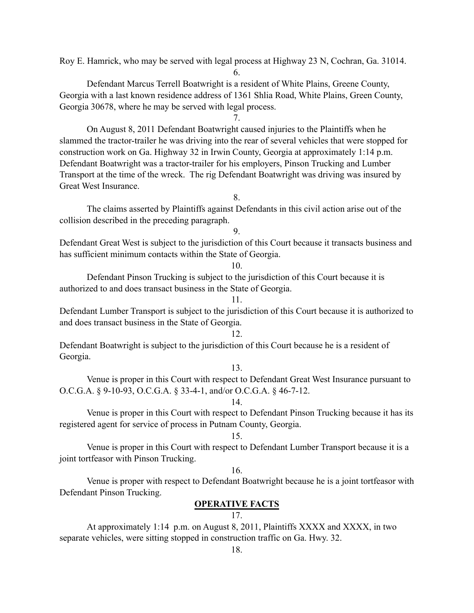Roy E. Hamrick, who may be served with legal process at Highway 23 N, Cochran, Ga. 31014.

6.

Defendant Marcus Terrell Boatwright is a resident of White Plains, Greene County, Georgia with a last known residence address of 1361 Shlia Road, White Plains, Green County, Georgia 30678, where he may be served with legal process.

7.

On August 8, 2011 Defendant Boatwright caused injuries to the Plaintiffs when he slammed the tractor-trailer he was driving into the rear of several vehicles that were stopped for construction work on Ga. Highway 32 in Irwin County, Georgia at approximately 1:14 p.m. Defendant Boatwright was a tractor-trailer for his employers, Pinson Trucking and Lumber Transport at the time of the wreck. The rig Defendant Boatwright was driving was insured by Great West Insurance.

8.

The claims asserted by Plaintiffs against Defendants in this civil action arise out of the collision described in the preceding paragraph.

9.

Defendant Great West is subject to the jurisdiction of this Court because it transacts business and has sufficient minimum contacts within the State of Georgia.

10.

Defendant Pinson Trucking is subject to the jurisdiction of this Court because it is authorized to and does transact business in the State of Georgia.

11.

Defendant Lumber Transport is subject to the jurisdiction of this Court because it is authorized to and does transact business in the State of Georgia.

12.

Defendant Boatwright is subject to the jurisdiction of this Court because he is a resident of Georgia.

## 13.

Venue is proper in this Court with respect to Defendant Great West Insurance pursuant to O.C.G.A. § 9-10-93, O.C.G.A. § 33-4-1, and/or O.C.G.A. § 46-7-12.

14.

Venue is proper in this Court with respect to Defendant Pinson Trucking because it has its registered agent for service of process in Putnam County, Georgia.

## 15.

Venue is proper in this Court with respect to Defendant Lumber Transport because it is a joint tortfeasor with Pinson Trucking.

## 16.

Venue is proper with respect to Defendant Boatwright because he is a joint tortfeasor with Defendant Pinson Trucking.

## **OPERATIVE FACTS**

## 17.

At approximately 1:14 p.m. on August 8, 2011, Plaintiffs XXXX and XXXX, in two separate vehicles, were sitting stopped in construction traffic on Ga. Hwy. 32.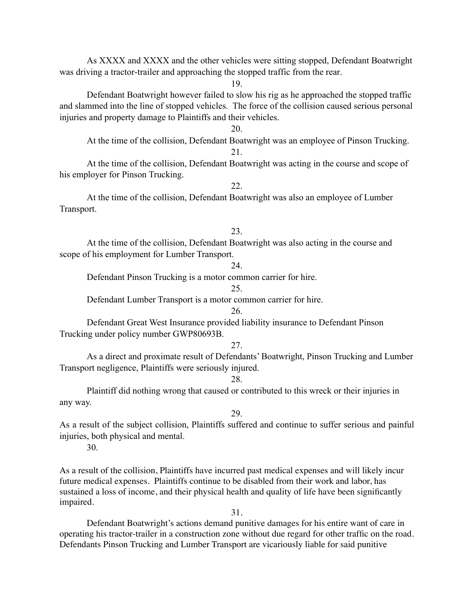As XXXX and XXXX and the other vehicles were sitting stopped, Defendant Boatwright was driving a tractor-trailer and approaching the stopped traffic from the rear.

19.

Defendant Boatwright however failed to slow his rig as he approached the stopped traffic and slammed into the line of stopped vehicles. The force of the collision caused serious personal injuries and property damage to Plaintiffs and their vehicles.

20.

At the time of the collision, Defendant Boatwright was an employee of Pinson Trucking. 21.

At the time of the collision, Defendant Boatwright was acting in the course and scope of his employer for Pinson Trucking.

22.

At the time of the collision, Defendant Boatwright was also an employee of Lumber Transport.

### 23.

At the time of the collision, Defendant Boatwright was also acting in the course and scope of his employment for Lumber Transport.

## 24.

Defendant Pinson Trucking is a motor common carrier for hire.

25.

Defendant Lumber Transport is a motor common carrier for hire.

26.

Defendant Great West Insurance provided liability insurance to Defendant Pinson Trucking under policy number GWP80693B.

27.

As a direct and proximate result of Defendants' Boatwright, Pinson Trucking and Lumber Transport negligence, Plaintiffs were seriously injured.

28.

Plaintiff did nothing wrong that caused or contributed to this wreck or their injuries in any way.

29.

As a result of the subject collision, Plaintiffs suffered and continue to suffer serious and painful injuries, both physical and mental.

30.

As a result of the collision, Plaintiffs have incurred past medical expenses and will likely incur future medical expenses. Plaintiffs continue to be disabled from their work and labor, has sustained a loss of income, and their physical health and quality of life have been significantly impaired.

31.

Defendant Boatwright's actions demand punitive damages for his entire want of care in operating his tractor-trailer in a construction zone without due regard for other traffic on the road. Defendants Pinson Trucking and Lumber Transport are vicariously liable for said punitive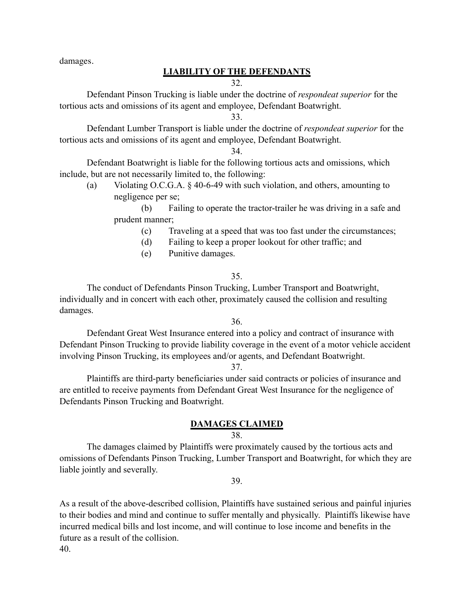damages.

## **LIABILITY OF THE DEFENDANTS**

## 32.

Defendant Pinson Trucking is liable under the doctrine of *respondeat superior* for the tortious acts and omissions of its agent and employee, Defendant Boatwright.

33.

Defendant Lumber Transport is liable under the doctrine of *respondeat superior* for the tortious acts and omissions of its agent and employee, Defendant Boatwright.

34.

Defendant Boatwright is liable for the following tortious acts and omissions, which include, but are not necessarily limited to, the following:

(a) Violating O.C.G.A. § 40-6-49 with such violation, and others, amounting to negligence per se;

(b) Failing to operate the tractor-trailer he was driving in a safe and prudent manner;

- (c) Traveling at a speed that was too fast under the circumstances;
- (d) Failing to keep a proper lookout for other traffic; and
- (e) Punitive damages.

## 35.

The conduct of Defendants Pinson Trucking, Lumber Transport and Boatwright, individually and in concert with each other, proximately caused the collision and resulting damages.

36.

Defendant Great West Insurance entered into a policy and contract of insurance with Defendant Pinson Trucking to provide liability coverage in the event of a motor vehicle accident involving Pinson Trucking, its employees and/or agents, and Defendant Boatwright.

37.

Plaintiffs are third-party beneficiaries under said contracts or policies of insurance and are entitled to receive payments from Defendant Great West Insurance for the negligence of Defendants Pinson Trucking and Boatwright.

## **DAMAGES CLAIMED**

## 38.

The damages claimed by Plaintiffs were proximately caused by the tortious acts and omissions of Defendants Pinson Trucking, Lumber Transport and Boatwright, for which they are liable jointly and severally.

39.

As a result of the above-described collision, Plaintiffs have sustained serious and painful injuries to their bodies and mind and continue to suffer mentally and physically. Plaintiffs likewise have incurred medical bills and lost income, and will continue to lose income and benefits in the future as a result of the collision. 40.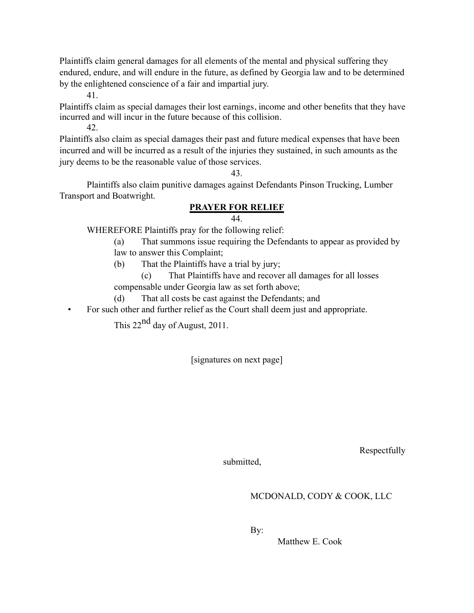Plaintiffs claim general damages for all elements of the mental and physical suffering they endured, endure, and will endure in the future, as defined by Georgia law and to be determined by the enlightened conscience of a fair and impartial jury.

41.

Plaintiffs claim as special damages their lost earnings, income and other benefits that they have incurred and will incur in the future because of this collision.

42.

Plaintiffs also claim as special damages their past and future medical expenses that have been incurred and will be incurred as a result of the injuries they sustained, in such amounts as the jury deems to be the reasonable value of those services.

43.

Plaintiffs also claim punitive damages against Defendants Pinson Trucking, Lumber Transport and Boatwright.

# **PRAYER FOR RELIEF**

## 44.

WHEREFORE Plaintiffs pray for the following relief:

- (a) That summons issue requiring the Defendants to appear as provided by
- law to answer this Complaint;
- (b) That the Plaintiffs have a trial by jury;

(c) That Plaintiffs have and recover all damages for all losses compensable under Georgia law as set forth above;

(d) That all costs be cast against the Defendants; and

• For such other and further relief as the Court shall deem just and appropriate.

This 22<sup>nd</sup> day of August, 2011.

[signatures on next page]

Respectfully

submitted,

# MCDONALD, CODY & COOK, LLC

By:

Matthew E. Cook